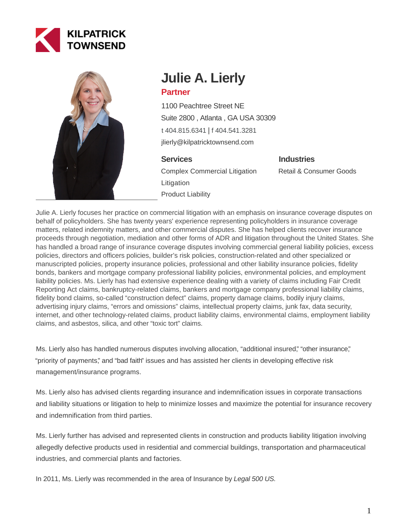



# **Julie A. Lierly Partner**

1100 Peachtree Street NE Suite 2800 , Atlanta , GA USA 30309 [t 404.815.6341](tel:404.815.6341) | [f 404.541.3281](fax:404.541.3281) jlierly@kilpatricktownsend.com

# **Services**

Complex Commercial Litigation Litigation Product Liability

**Industries**

Retail & Consumer Goods

Julie A. Lierly focuses her practice on commercial litigation with an emphasis on insurance coverage disputes on behalf of policyholders. She has twenty years' experience representing policyholders in insurance coverage matters, related indemnity matters, and other commercial disputes. She has helped clients recover insurance proceeds through negotiation, mediation and other forms of ADR and litigation throughout the United States. She has handled a broad range of insurance coverage disputes involving commercial general liability policies, excess policies, directors and officers policies, builder's risk policies, construction-related and other specialized or manuscripted policies, property insurance policies, professional and other liability insurance policies, fidelity bonds, bankers and mortgage company professional liability policies, environmental policies, and employment liability policies. Ms. Lierly has had extensive experience dealing with a variety of claims including Fair Credit Reporting Act claims, bankruptcy-related claims, bankers and mortgage company professional liability claims, fidelity bond claims, so-called "construction defect" claims, property damage claims, bodily injury claims, advertising injury claims, "errors and omissions" claims, intellectual property claims, junk fax, data security, internet, and other technology-related claims, product liability claims, environmental claims, employment liability claims, and asbestos, silica, and other "toxic tort" claims.

Ms. Lierly also has handled numerous disputes involving allocation, "additional insured," "other insurance," "priority of payments," and "bad faith" issues and has assisted her clients in developing effective risk management/insurance programs.

Ms. Lierly also has advised clients regarding insurance and indemnification issues in corporate transactions and liability situations or litigation to help to minimize losses and maximize the potential for insurance recovery and indemnification from third parties.

Ms. Lierly further has advised and represented clients in construction and products liability litigation involving allegedly defective products used in residential and commercial buildings, transportation and pharmaceutical industries, and commercial plants and factories.

In 2011, Ms. Lierly was recommended in the area of Insurance by Legal 500 US.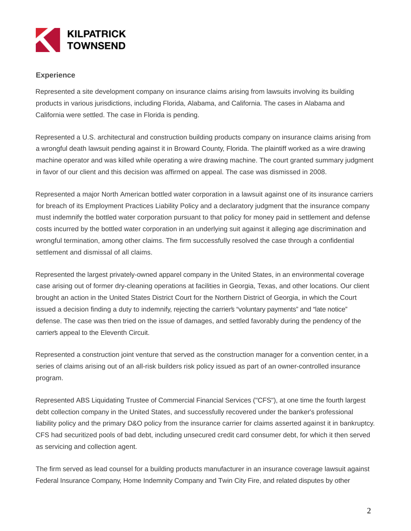

## **Experience**

Represented a site development company on insurance claims arising from lawsuits involving its building products in various jurisdictions, including Florida, Alabama, and California. The cases in Alabama and California were settled. The case in Florida is pending.

Represented a U.S. architectural and construction building products company on insurance claims arising from a wrongful death lawsuit pending against it in Broward County, Florida. The plaintiff worked as a wire drawing machine operator and was killed while operating a wire drawing machine. The court granted summary judgment in favor of our client and this decision was affirmed on appeal. The case was dismissed in 2008.

Represented a major North American bottled water corporation in a lawsuit against one of its insurance carriers for breach of its Employment Practices Liability Policy and a declaratory judgment that the insurance company must indemnify the bottled water corporation pursuant to that policy for money paid in settlement and defense costs incurred by the bottled water corporation in an underlying suit against it alleging age discrimination and wrongful termination, among other claims. The firm successfully resolved the case through a confidential settlement and dismissal of all claims.

Represented the largest privately-owned apparel company in the United States, in an environmental coverage case arising out of former dry-cleaning operations at facilities in Georgia, Texas, and other locations. Our client brought an action in the United States District Court for the Northern District of Georgia, in which the Court issued a decision finding a duty to indemnify, rejecting the carrier's "voluntary payments" and "late notice" defense. The case was then tried on the issue of damages, and settled favorably during the pendency of the carrier's appeal to the Eleventh Circuit.

Represented a construction joint venture that served as the construction manager for a convention center, in a series of claims arising out of an all-risk builders risk policy issued as part of an owner-controlled insurance program.

Represented ABS Liquidating Trustee of Commercial Financial Services ("CFS"), at one time the fourth largest debt collection company in the United States, and successfully recovered under the banker's professional liability policy and the primary D&O policy from the insurance carrier for claims asserted against it in bankruptcy. CFS had securitized pools of bad debt, including unsecured credit card consumer debt, for which it then served as servicing and collection agent.

The firm served as lead counsel for a building products manufacturer in an insurance coverage lawsuit against Federal Insurance Company, Home Indemnity Company and Twin City Fire, and related disputes by other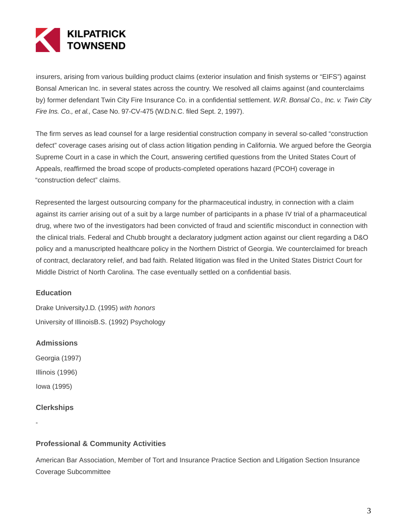

insurers, arising from various building product claims (exterior insulation and finish systems or "EIFS") against Bonsal American Inc. in several states across the country. We resolved all claims against (and counterclaims by) former defendant Twin City Fire Insurance Co. in a confidential settlement. W.R. Bonsal Co., Inc. v. Twin City Fire Ins. Co., et al., Case No. 97-CV-475 (W.D.N.C. filed Sept. 2, 1997).

The firm serves as lead counsel for a large residential construction company in several so-called "construction defect" coverage cases arising out of class action litigation pending in California. We argued before the Georgia Supreme Court in a case in which the Court, answering certified questions from the United States Court of Appeals, reaffirmed the broad scope of products-completed operations hazard (PCOH) coverage in "construction defect" claims.

Represented the largest outsourcing company for the pharmaceutical industry, in connection with a claim against its carrier arising out of a suit by a large number of participants in a phase IV trial of a pharmaceutical drug, where two of the investigators had been convicted of fraud and scientific misconduct in connection with the clinical trials. Federal and Chubb brought a declaratory judgment action against our client regarding a D&O policy and a manuscripted healthcare policy in the Northern District of Georgia. We counterclaimed for breach of contract, declaratory relief, and bad faith. Related litigation was filed in the United States District Court for Middle District of North Carolina. The case eventually settled on a confidential basis.

## **Education**

Drake UniversityJ.D. (1995) with honors University of IllinoisB.S. (1992) Psychology

#### **Admissions**

Georgia (1997)

Illinois (1996)

Iowa (1995)

## **Clerkships**

-

**Professional & Community Activities**

American Bar Association, Member of Tort and Insurance Practice Section and Litigation Section Insurance Coverage Subcommittee